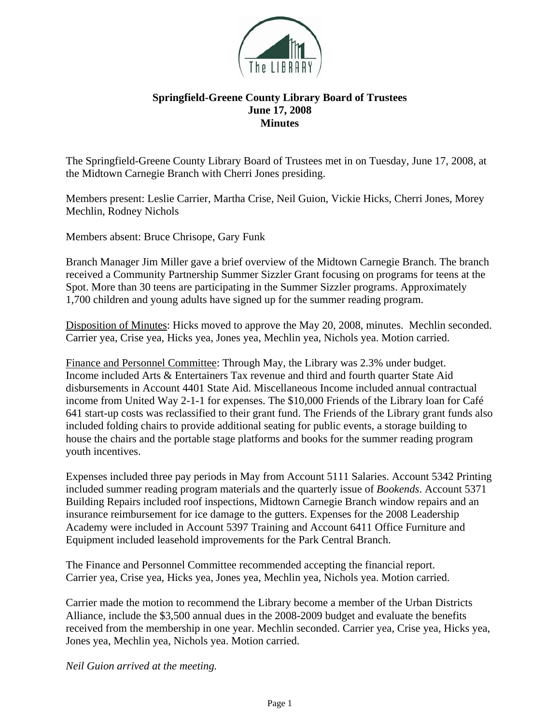

## **Springfield-Greene County Library Board of Trustees June 17, 2008 Minutes**

The Springfield-Greene County Library Board of Trustees met in on Tuesday, June 17, 2008, at the Midtown Carnegie Branch with Cherri Jones presiding.

Members present: Leslie Carrier, Martha Crise, Neil Guion, Vickie Hicks, Cherri Jones, Morey Mechlin, Rodney Nichols

Members absent: Bruce Chrisope, Gary Funk

Branch Manager Jim Miller gave a brief overview of the Midtown Carnegie Branch. The branch received a Community Partnership Summer Sizzler Grant focusing on programs for teens at the Spot. More than 30 teens are participating in the Summer Sizzler programs. Approximately 1,700 children and young adults have signed up for the summer reading program.

Disposition of Minutes: Hicks moved to approve the May 20, 2008, minutes. Mechlin seconded. Carrier yea, Crise yea, Hicks yea, Jones yea, Mechlin yea, Nichols yea. Motion carried.

Finance and Personnel Committee: Through May, the Library was 2.3% under budget. Income included Arts & Entertainers Tax revenue and third and fourth quarter State Aid disbursements in Account 4401 State Aid. Miscellaneous Income included annual contractual income from United Way 2-1-1 for expenses. The \$10,000 Friends of the Library loan for Café 641 start-up costs was reclassified to their grant fund. The Friends of the Library grant funds also included folding chairs to provide additional seating for public events, a storage building to house the chairs and the portable stage platforms and books for the summer reading program youth incentives.

Expenses included three pay periods in May from Account 5111 Salaries. Account 5342 Printing included summer reading program materials and the quarterly issue of *Bookends*. Account 5371 Building Repairs included roof inspections, Midtown Carnegie Branch window repairs and an insurance reimbursement for ice damage to the gutters. Expenses for the 2008 Leadership Academy were included in Account 5397 Training and Account 6411 Office Furniture and Equipment included leasehold improvements for the Park Central Branch.

The Finance and Personnel Committee recommended accepting the financial report. Carrier yea, Crise yea, Hicks yea, Jones yea, Mechlin yea, Nichols yea. Motion carried.

Carrier made the motion to recommend the Library become a member of the Urban Districts Alliance, include the \$3,500 annual dues in the 2008-2009 budget and evaluate the benefits received from the membership in one year. Mechlin seconded. Carrier yea, Crise yea, Hicks yea, Jones yea, Mechlin yea, Nichols yea. Motion carried.

*Neil Guion arrived at the meeting.*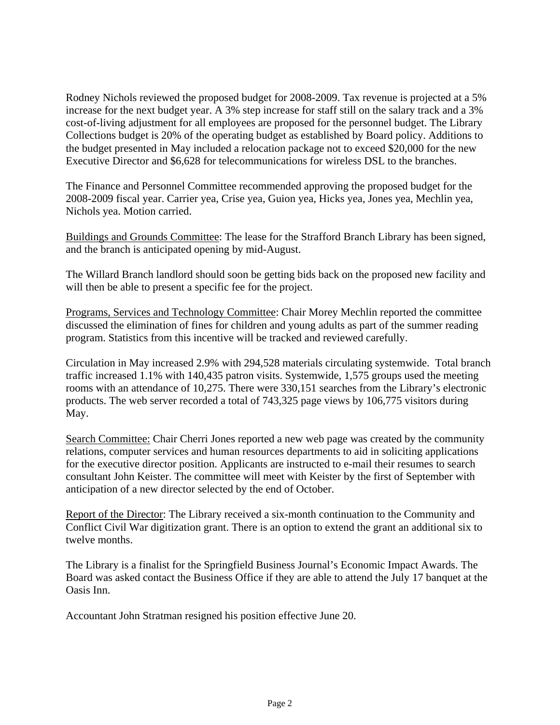Rodney Nichols reviewed the proposed budget for 2008-2009. Tax revenue is projected at a 5% increase for the next budget year. A 3% step increase for staff still on the salary track and a 3% cost-of-living adjustment for all employees are proposed for the personnel budget. The Library Collections budget is 20% of the operating budget as established by Board policy. Additions to the budget presented in May included a relocation package not to exceed \$20,000 for the new Executive Director and \$6,628 for telecommunications for wireless DSL to the branches.

The Finance and Personnel Committee recommended approving the proposed budget for the 2008-2009 fiscal year. Carrier yea, Crise yea, Guion yea, Hicks yea, Jones yea, Mechlin yea, Nichols yea. Motion carried.

Buildings and Grounds Committee: The lease for the Strafford Branch Library has been signed, and the branch is anticipated opening by mid-August.

The Willard Branch landlord should soon be getting bids back on the proposed new facility and will then be able to present a specific fee for the project.

Programs, Services and Technology Committee: Chair Morey Mechlin reported the committee discussed the elimination of fines for children and young adults as part of the summer reading program. Statistics from this incentive will be tracked and reviewed carefully.

Circulation in May increased 2.9% with 294,528 materials circulating systemwide. Total branch traffic increased 1.1% with 140,435 patron visits. Systemwide, 1,575 groups used the meeting rooms with an attendance of 10,275. There were 330,151 searches from the Library's electronic products. The web server recorded a total of 743,325 page views by 106,775 visitors during May.

Search Committee: Chair Cherri Jones reported a new web page was created by the community relations, computer services and human resources departments to aid in soliciting applications for the executive director position. Applicants are instructed to e-mail their resumes to search consultant John Keister. The committee will meet with Keister by the first of September with anticipation of a new director selected by the end of October.

Report of the Director: The Library received a six-month continuation to the Community and Conflict Civil War digitization grant. There is an option to extend the grant an additional six to twelve months.

The Library is a finalist for the Springfield Business Journal's Economic Impact Awards. The Board was asked contact the Business Office if they are able to attend the July 17 banquet at the Oasis Inn.

Accountant John Stratman resigned his position effective June 20.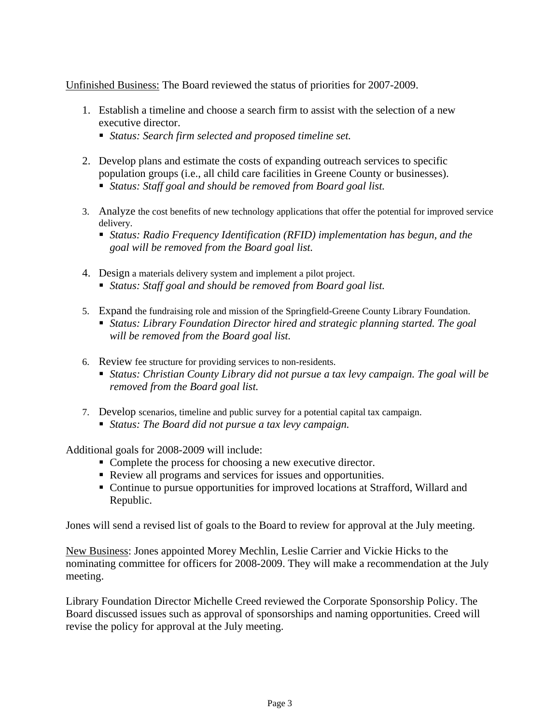Unfinished Business: The Board reviewed the status of priorities for 2007-2009.

- 1. Establish a timeline and choose a search firm to assist with the selection of a new executive director.
	- *Status: Search firm selected and proposed timeline set.*
- 2. Develop plans and estimate the costs of expanding outreach services to specific population groups (i.e., all child care facilities in Greene County or businesses).
	- *Status: Staff goal and should be removed from Board goal list.*
- 3. Analyze the cost benefits of new technology applications that offer the potential for improved service delivery.
	- *Status: Radio Frequency Identification (RFID) implementation has begun, and the goal will be removed from the Board goal list.*
- 4. Design a materials delivery system and implement a pilot project. *Status: Staff goal and should be removed from Board goal list.*
	-
- 5. Expand the fundraising role and mission of the Springfield-Greene County Library Foundation.
	- *Status: Library Foundation Director hired and strategic planning started. The goal will be removed from the Board goal list.*
- 6. Review fee structure for providing services to non-residents.
	- *Status: Christian County Library did not pursue a tax levy campaign. The goal will be removed from the Board goal list.*
- 7. Develop scenarios, timeline and public survey for a potential capital tax campaign.
	- *Status: The Board did not pursue a tax levy campaign.*

Additional goals for 2008-2009 will include:

- Complete the process for choosing a new executive director.
- Review all programs and services for issues and opportunities.
- Continue to pursue opportunities for improved locations at Strafford, Willard and Republic.

Jones will send a revised list of goals to the Board to review for approval at the July meeting.

New Business: Jones appointed Morey Mechlin, Leslie Carrier and Vickie Hicks to the nominating committee for officers for 2008-2009. They will make a recommendation at the July meeting.

Library Foundation Director Michelle Creed reviewed the Corporate Sponsorship Policy. The Board discussed issues such as approval of sponsorships and naming opportunities. Creed will revise the policy for approval at the July meeting.